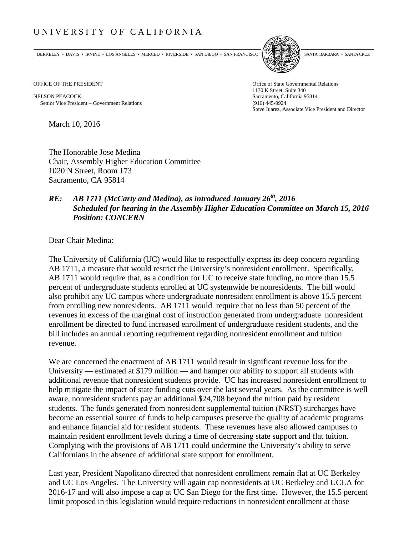## UNIVERSITY OF CALIFORNIA

BERKELEY • DAVIS • IRVINE • LOS ANGELES • MERCED • RIVERSIDE • SAN DIEGO • SAN FRANCISCO [5] SANTA BARBARA • SANTA CRUZ



NELSON PEACOCK Sacramento, California 95814 Senior Vice President − Government Relations (916) 445-9924

OFFICE OF THE PRESIDENT STATES OF THE PRESIDENT 1130 K Street, Suite 340 Steve Juarez, Associate Vice President and Director

March 10, 2016

The Honorable Jose Medina Chair, Assembly Higher Education Committee 1020 N Street, Room 173 Sacramento, CA 95814

## *RE: AB 1711 (McCarty and Medina), as introduced January 26th, 2016 Scheduled for hearing in the Assembly Higher Education Committee on March 15, 2016 Position: CONCERN*

Dear Chair Medina:

The University of California (UC) would like to respectfully express its deep concern regarding AB 1711, a measure that would restrict the University's nonresident enrollment. Specifically, AB 1711 would require that, as a condition for UC to receive state funding, no more than 15.5 percent of undergraduate students enrolled at UC systemwide be nonresidents. The bill would also prohibit any UC campus where undergraduate nonresident enrollment is above 15.5 percent from enrolling new nonresidents. AB 1711 would require that no less than 50 percent of the revenues in excess of the marginal cost of instruction generated from undergraduate nonresident enrollment be directed to fund increased enrollment of undergraduate resident students, and the bill includes an annual reporting requirement regarding nonresident enrollment and tuition revenue.

We are concerned the enactment of AB 1711 would result in significant revenue loss for the University — estimated at \$179 million — and hamper our ability to support all students with additional revenue that nonresident students provide. UC has increased nonresident enrollment to help mitigate the impact of state funding cuts over the last several years. As the committee is well aware, nonresident students pay an additional \$24,708 beyond the tuition paid by resident students. The funds generated from nonresident supplemental tuition (NRST) surcharges have become an essential source of funds to help campuses preserve the quality of academic programs and enhance financial aid for resident students. These revenues have also allowed campuses to maintain resident enrollment levels during a time of decreasing state support and flat tuition. Complying with the provisions of AB 1711 could undermine the University's ability to serve Californians in the absence of additional state support for enrollment.

Last year, President Napolitano directed that nonresident enrollment remain flat at UC Berkeley and UC Los Angeles. The University will again cap nonresidents at UC Berkeley and UCLA for 2016-17 and will also impose a cap at UC San Diego for the first time. However, the 15.5 percent limit proposed in this legislation would require reductions in nonresident enrollment at those